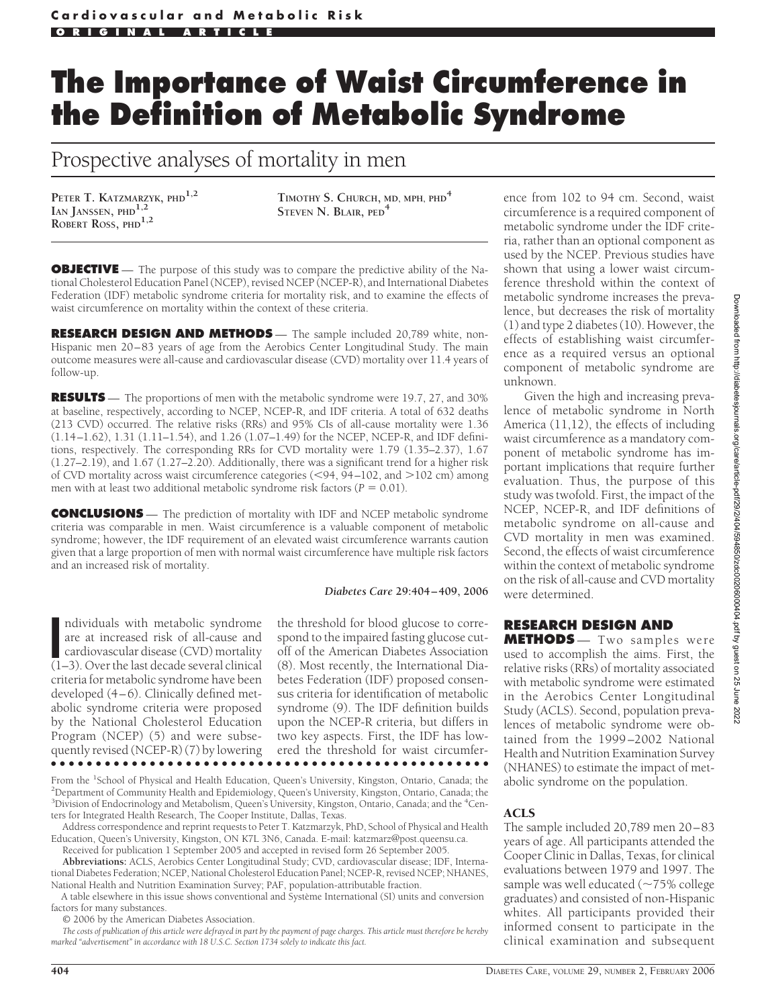# **The Importance of Waist Circumference in the Definition of Metabolic Syndrome**

Prospective analyses of mortality in men

**PETER T. KATZMARZYK, PHD1,2 IAN JANSSEN, PHD1,2 ROBERT ROSS, PHD1,2**

**TIMOTHY S. CHURCH, MD, MPH, PHD<sup>4</sup> STEVEN N. BLAIR, PED<sup>4</sup>**

**OBJECTIVE** — The purpose of this study was to compare the predictive ability of the National Cholesterol Education Panel (NCEP), revised NCEP (NCEP-R), and International Diabetes Federation (IDF) metabolic syndrome criteria for mortality risk, and to examine the effects of waist circumference on mortality within the context of these criteria.

**RESEARCH DESIGN AND METHODS** — The sample included 20,789 white, non-Hispanic men 20–83 years of age from the Aerobics Center Longitudinal Study. The main outcome measures were all-cause and cardiovascular disease (CVD) mortality over 11.4 years of follow-up.

**RESULTS** — The proportions of men with the metabolic syndrome were 19.7, 27, and 30% at baseline, respectively, according to NCEP, NCEP-R, and IDF criteria. A total of 632 deaths (213 CVD) occurred. The relative risks (RRs) and 95% CIs of all-cause mortality were 1.36 (1.14–1.62), 1.31 (1.11–1.54), and 1.26 (1.07–1.49) for the NCEP, NCEP-R, and IDF definitions, respectively. The corresponding RRs for CVD mortality were 1.79 (1.35–2.37), 1.67 (1.27–2.19), and 1.67 (1.27–2.20). Additionally, there was a significant trend for a higher risk of CVD mortality across waist circumference categories (<94, 94-102, and >102 cm) among men with at least two additional metabolic syndrome risk factors ( $P = 0.01$ ).

**CONCLUSIONS** — The prediction of mortality with IDF and NCEP metabolic syndrome criteria was comparable in men. Waist circumference is a valuable component of metabolic syndrome; however, the IDF requirement of an elevated waist circumference warrants caution given that a large proportion of men with normal waist circumference have multiple risk factors and an increased risk of mortality.

#### *Diabetes Care* **29:404 – 409, 2006**

ndividuals with metabolic syndrome<br>
are at increased risk of all-cause and<br>
cardiovascular disease (CVD) mortality<br>
(1–3). Over the last decade several clinical ndividuals with metabolic syndrome are at increased risk of all-cause and cardiovascular disease (CVD) mortality criteria for metabolic syndrome have been developed (4–6). Clinically defined metabolic syndrome criteria were proposed by the National Cholesterol Education Program (NCEP) (5) and were subsequently revised (NCEP-R) (7) by lowering ●●●●●●●●●●●●●●●●●●●●●●●●●●●●●●●●●●●●●●●●●●●●●●●●●

the threshold for blood glucose to correspond to the impaired fasting glucose cutoff of the American Diabetes Association (8). Most recently, the International Diabetes Federation (IDF) proposed consensus criteria for identification of metabolic syndrome (9). The IDF definition builds upon the NCEP-R criteria, but differs in two key aspects. First, the IDF has lowered the threshold for waist circumfer-

From the <sup>1</sup>School of Physical and Health Education, Queen's University, Kingston, Ontario, Canada; the <sup>2</sup>Department of Community Health and Enidemiology Queen's University, Kingston, Ontario, Canada; the <sup>2</sup>Department of Community Health and Epidemiology, Queen's University, Kingston, Ontario, Canada; the <sup>3</sup>Division of Endocrinology and Metabolism, Queen's University, Kingston, Ontario, Canada; and the <sup>4</sup>Centers for Integrated Health Research, The Cooper Institute, Dallas, Texas.

Address correspondence and reprint requests to Peter T. Katzmarzyk, PhD, School of Physical and Health Education, Queen's University, Kingston, ON K7L 3N6, Canada. E-mail: katzmarz@post.queensu.ca.

Received for publication 1 September 2005 and accepted in revised form 26 September 2005. **Abbreviations:** ACLS, Aerobics Center Longitudinal Study; CVD, cardiovascular disease; IDF, International Diabetes Federation; NCEP, National Cholesterol Education Panel; NCEP-R, revised NCEP; NHANES, National Health and Nutrition Examination Survey; PAF, population-attributable fraction.

A table elsewhere in this issue shows conventional and Système International (SI) units and conversion factors for many substances.

© 2006 by the American Diabetes Association.

*The costs of publication of this article were defrayed in part by the payment of page charges. This article must therefore be hereby marked "advertisement" in accordance with 18 U.S.C. Section 1734 solely to indicate this fact.*

ence from 102 to 94 cm. Second, waist circumference is a required component of metabolic syndrome under the IDF criteria, rather than an optional component as used by the NCEP. Previous studies have shown that using a lower waist circumference threshold within the context of metabolic syndrome increases the prevalence, but decreases the risk of mortality (1) and type 2 diabetes (10). However, the effects of establishing waist circumference as a required versus an optional component of metabolic syndrome are unknown.

Given the high and increasing prevalence of metabolic syndrome in North America (11,12), the effects of including waist circumference as a mandatory component of metabolic syndrome has important implications that require further evaluation. Thus, the purpose of this study was twofold. First, the impact of the NCEP, NCEP-R, and IDF definitions of metabolic syndrome on all-cause and CVD mortality in men was examined. Second, the effects of waist circumference within the context of metabolic syndrome on the risk of all-cause and CVD mortality were determined.

#### **RESEARCH DESIGN AND**

**METHODS** — Two samples were used to accomplish the aims. First, the relative risks (RRs) of mortality associated with metabolic syndrome were estimated in the Aerobics Center Longitudinal Study (ACLS). Second, population prevalences of metabolic syndrome were obtained from the 1999–2002 National Health and Nutrition Examination Survey (NHANES) to estimate the impact of metabolic syndrome on the population.

#### ACLS

The sample included 20,789 men 20–83 years of age. All participants attended the Cooper Clinic in Dallas, Texas, for clinical evaluations between 1979 and 1997. The sample was well educated ( $\sim$ 75% college graduates) and consisted of non-Hispanic whites. All participants provided their informed consent to participate in the clinical examination and subsequent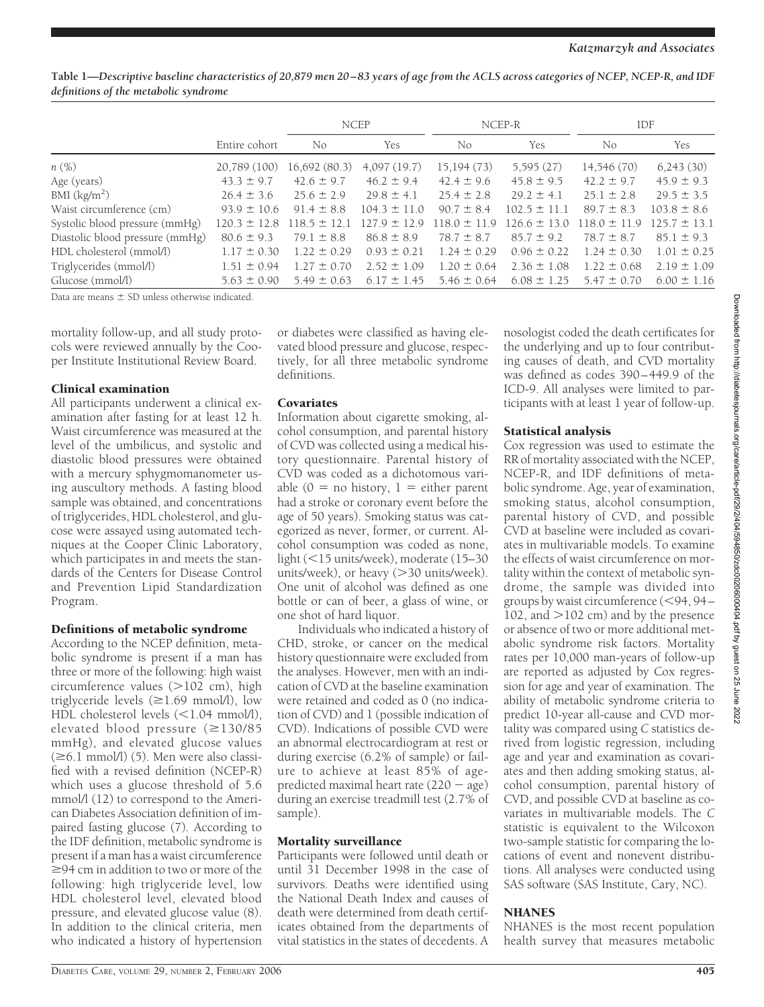#### **Table 1—***Descriptive baseline characteristics of 20,879 men 20–83 years of age from the ACLS across categories of NCEP, NCEP-R, and IDF definitions of the metabolic syndrome*

|                                 |                  | <b>NCEP</b>      |                  | NCEP-R           |                  | <b>IDF</b>       |                  |
|---------------------------------|------------------|------------------|------------------|------------------|------------------|------------------|------------------|
|                                 | Entire cohort    | No               | Yes              | N <sub>0</sub>   | Yes              | No.              | <b>Yes</b>       |
| $n(\%)$                         | 20,789 (100)     | 16,692 (80.3)    | 4,097(19.7)      | 15,194(73)       | 5,595(27)        | 14,546 (70)      | 6,243(30)        |
| Age (years)                     | $43.3 \pm 9.7$   | $42.6 \pm 9.7$   | $46.2 \pm 9.4$   | $42.4 \pm 9.6$   | $45.8 \pm 9.5$   | $42.2 \pm 9.7$   | $45.9 \pm 9.3$   |
| BMI (kg/m <sup>2</sup> )        | $26.4 \pm 3.6$   | $25.6 \pm 2.9$   | $29.8 \pm 4.1$   | $25.4 \pm 2.8$   | $29.2 \pm 4.1$   | $25.1 \pm 2.8$   | $29.5 \pm 3.5$   |
| Waist circumference (cm)        | $93.9 \pm 10.6$  | $91.4 \pm 8.8$   | $104.3 \pm 11.0$ | $90.7 \pm 8.4$   | $102.5 \pm 11.1$ | $89.7 \pm 8.3$   | $103.8 \pm 8.6$  |
| Systolic blood pressure (mmHg)  | $120.3 \pm 12.8$ | $118.5 \pm 12.1$ | $127.9 \pm 12.9$ | $118.0 \pm 11.9$ | $126.6 \pm 13.0$ | $118.0 \pm 11.9$ | $125.7 \pm 13.1$ |
| Diastolic blood pressure (mmHg) | $80.6 \pm 9.3$   | $79.1 \pm 8.8$   | $86.8 \pm 8.9$   | $78.7 \pm 8.7$   | $85.7 \pm 9.2$   | $78.7 \pm 8.7$   | $85.1 \pm 9.3$   |
| HDL cholesterol (mmol/l)        | $1.17 \pm 0.30$  | $1.22 \pm 0.29$  | $0.93 \pm 0.21$  | $1.24 \pm 0.29$  | $0.96 \pm 0.22$  | $1.24 \pm 0.30$  | $1.01 \pm 0.25$  |
| Triglycerides (mmol/l)          | $1.51 \pm 0.94$  | $1.27 \pm 0.70$  | $2.52 \pm 1.09$  | $1.20 \pm 0.64$  | $2.36 \pm 1.08$  | $1.22 \pm 0.68$  | $2.19 \pm 1.09$  |
| Glucose (mmol/l)                | $5.63 \pm 0.90$  | $5.49 \pm 0.63$  | $6.17 \pm 1.45$  | $5.46 \pm 0.64$  | $6.08 \pm 1.25$  | $5.47 \pm 0.70$  | $6.00 \pm 1.16$  |

Data are means  $+$  SD unless otherwise indicated.

mortality follow-up, and all study protocols were reviewed annually by the Cooper Institute Institutional Review Board.

# Clinical examination

All participants underwent a clinical examination after fasting for at least 12 h. Waist circumference was measured at the level of the umbilicus, and systolic and diastolic blood pressures were obtained with a mercury sphygmomanometer using auscultory methods. A fasting blood sample was obtained, and concentrations of triglycerides, HDL cholesterol, and glucose were assayed using automated techniques at the Cooper Clinic Laboratory, which participates in and meets the standards of the Centers for Disease Control and Prevention Lipid Standardization Program.

### Definitions of metabolic syndrome

According to the NCEP definition, metabolic syndrome is present if a man has three or more of the following: high waist circumference values (>102 cm), high triglyceride levels  $(\geq 1.69 \text{ mmol/l})$ , low HDL cholesterol levels  $\leq 1.04$  mmol/l), elevated blood pressure  $(\geq 130/85)$ mmHg), and elevated glucose values  $(\geq 6.1 \text{ mmol/l})$  (5). Men were also classified with a revised definition (NCEP-R) which uses a glucose threshold of 5.6 mmol/l (12) to correspond to the American Diabetes Association definition of impaired fasting glucose (7). According to the IDF definition, metabolic syndrome is present if a man has a waist circumference  $\geq$ 94 cm in addition to two or more of the following: high triglyceride level, low HDL cholesterol level, elevated blood pressure, and elevated glucose value (8). In addition to the clinical criteria, men who indicated a history of hypertension

or diabetes were classified as having elevated blood pressure and glucose, respectively, for all three metabolic syndrome definitions.

### **Covariates**

Information about cigarette smoking, alcohol consumption, and parental history of CVD was collected using a medical history questionnaire. Parental history of CVD was coded as a dichotomous variable ( $0 =$  no history,  $1 =$  either parent had a stroke or coronary event before the age of 50 years). Smoking status was categorized as never, former, or current. Alcohol consumption was coded as none, light (<15 units/week), moderate (15-30 units/week), or heavy (>30 units/week). One unit of alcohol was defined as one bottle or can of beer, a glass of wine, or one shot of hard liquor.

Individuals who indicated a history of CHD, stroke, or cancer on the medical history questionnaire were excluded from the analyses. However, men with an indication of CVD at the baseline examination were retained and coded as 0 (no indication of CVD) and 1 (possible indication of CVD). Indications of possible CVD were an abnormal electrocardiogram at rest or during exercise (6.2% of sample) or failure to achieve at least 85% of agepredicted maximal heart rate  $(220 - age)$ during an exercise treadmill test (2.7% of sample).

### Mortality surveillance

Participants were followed until death or until 31 December 1998 in the case of survivors. Deaths were identified using the National Death Index and causes of death were determined from death certificates obtained from the departments of vital statistics in the states of decedents. A

nosologist coded the death certificates for the underlying and up to four contributing causes of death, and CVD mortality was defined as codes 390–449.9 of the ICD-9. All analyses were limited to participants with at least 1 year of follow-up.

# Statistical analysis

Cox regression was used to estimate the RR of mortality associated with the NCEP, NCEP-R, and IDF definitions of metabolic syndrome. Age, year of examination, smoking status, alcohol consumption, parental history of CVD, and possible CVD at baseline were included as covariates in multivariable models. To examine the effects of waist circumference on mortality within the context of metabolic syndrome, the sample was divided into groups by waist circumference (94, 94– 102, and  $>$  102 cm) and by the presence or absence of two or more additional metabolic syndrome risk factors. Mortality rates per 10,000 man-years of follow-up are reported as adjusted by Cox regression for age and year of examination. The ability of metabolic syndrome criteria to predict 10-year all-cause and CVD mortality was compared using *C* statistics derived from logistic regression, including age and year and examination as covariates and then adding smoking status, alcohol consumption, parental history of CVD, and possible CVD at baseline as covariates in multivariable models. The *C* statistic is equivalent to the Wilcoxon two-sample statistic for comparing the locations of event and nonevent distributions. All analyses were conducted using SAS software (SAS Institute, Cary, NC).

## NHANES

NHANES is the most recent population health survey that measures metabolic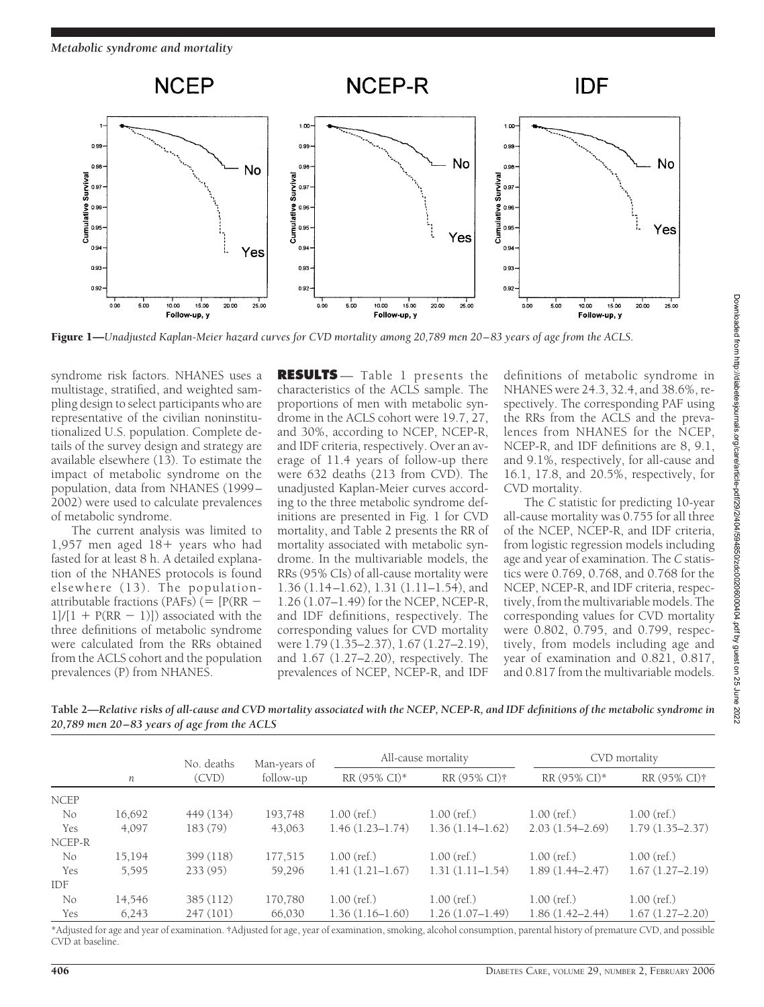

Figure 1—*Unadjusted Kaplan-Meier hazard curves for CVD mortality among 20,789 men 20 – 83 years of age from the ACLS.*

syndrome risk factors. NHANES uses a multistage, stratified, and weighted sampling design to select participants who are representative of the civilian noninstitutionalized U.S. population. Complete details of the survey design and strategy are available elsewhere (13). To estimate the impact of metabolic syndrome on the population, data from NHANES (1999– 2002) were used to calculate prevalences of metabolic syndrome.

The current analysis was limited to 1,957 men aged  $18+$  years who had fasted for at least 8 h. A detailed explanation of the NHANES protocols is found elsewhere (13). The populationattributable fractions (PAFs) ( $=$  [P(RR  $1$ ]/[1 + P(RR - 1)]) associated with the three definitions of metabolic syndrome were calculated from the RRs obtained from the ACLS cohort and the population prevalences (P) from NHANES.

**RESULTS** — Table 1 presents the characteristics of the ACLS sample. The proportions of men with metabolic syndrome in the ACLS cohort were 19.7, 27, and 30%, according to NCEP, NCEP-R, and IDF criteria, respectively. Over an average of 11.4 years of follow-up there were 632 deaths (213 from CVD). The unadjusted Kaplan-Meier curves according to the three metabolic syndrome definitions are presented in Fig. 1 for CVD mortality, and Table 2 presents the RR of mortality associated with metabolic syndrome. In the multivariable models, the RRs (95% CIs) of all-cause mortality were 1.36 (1.14–1.62), 1.31 (1.11–1.54), and 1.26 (1.07–1.49) for the NCEP, NCEP-R, and IDF definitions, respectively. The corresponding values for CVD mortality were 1.79 (1.35–2.37), 1.67 (1.27–2.19), and 1.67 (1.27–2.20), respectively. The prevalences of NCEP, NCEP-R, and IDF

definitions of metabolic syndrome in NHANES were 24.3, 32.4, and 38.6%, respectively. The corresponding PAF using the RRs from the ACLS and the prevalences from NHANES for the NCEP, NCEP-R, and IDF definitions are 8, 9.1, and 9.1%, respectively, for all-cause and 16.1, 17.8, and 20.5%, respectively, for CVD mortality.

The *C* statistic for predicting 10-year all-cause mortality was 0.755 for all three of the NCEP, NCEP-R, and IDF criteria, from logistic regression models including age and year of examination. The *C* statistics were 0.769, 0.768, and 0.768 for the NCEP, NCEP-R, and IDF criteria, respectively, from the multivariable models. The corresponding values for CVD mortality were 0.802, 0.795, and 0.799, respectively, from models including age and year of examination and 0.821, 0.817, and 0.817 from the multivariable models.

**Table 2—***Relative risks of all-cause and CVD mortality associated with the NCEP, NCEP-R, and IDF definitions of the metabolic syndrome in 20,789 men 20–83 years of age from the ACLS*

|             |        | No. deaths<br>(CVD) | Man-years of<br>follow-up | All-cause mortality |                   | CVD mortality       |                     |
|-------------|--------|---------------------|---------------------------|---------------------|-------------------|---------------------|---------------------|
|             | п      |                     |                           | RR (95% CI)*        | RR (95% CI)†      | RR (95% CI)*        | RR (95% CI)†        |
| <b>NCEP</b> |        |                     |                           |                     |                   |                     |                     |
| No          | 16,692 | 449 (134)           | 193,748                   | $1.00$ (ref.)       | $1.00$ (ref.)     | $1.00$ (ref.)       | $1.00$ (ref.)       |
| Yes         | 4,097  | 183 (79)            | 43,063                    | $1.46(1.23 - 1.74)$ | $1.36(1.14-1.62)$ | $2.03(1.54 - 2.69)$ | $1.79(1.35 - 2.37)$ |
| NCEP-R      |        |                     |                           |                     |                   |                     |                     |
| No          | 15,194 | 399 (118)           | 177,515                   | $1.00$ (ref.)       | $1.00$ (ref.)     | $1.00$ (ref.)       | $1.00$ (ref.)       |
| Yes         | 5,595  | 233(95)             | 59,296                    | $1.41(1.21-1.67)$   | $1.31(1.11-1.54)$ | $1.89(1.44 - 2.47)$ | $1.67(1.27-2.19)$   |
| IDF         |        |                     |                           |                     |                   |                     |                     |
| No          | 14,546 | 385 (112)           | 170,780                   | $1.00$ (ref.)       | $1.00$ (ref.)     | $1.00$ (ref.)       | $1.00$ (ref.)       |
| Yes         | 6,243  | 247 (101)           | 66,030                    | $1.36(1.16-1.60)$   | $1.26(1.07-1.49)$ | $1.86(1.42 - 2.44)$ | $1.67(1.27 - 2.20)$ |

\*Adjusted for age and year of examination. †Adjusted for age, year of examination, smoking, alcohol consumption, parental history of premature CVD, and possible CVD at baseline.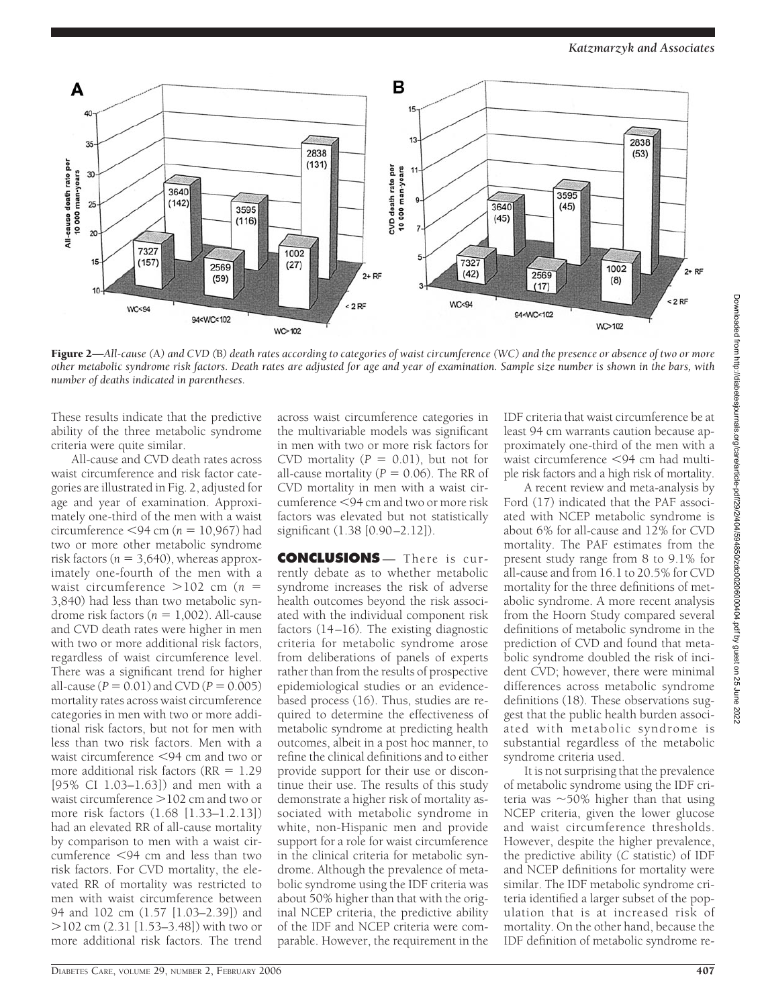

Figure 2—*All-cause (*A*) and CVD (*B*) death rates according to categories of waist circumference (WC) and the presence or absence of two or more other metabolic syndrome risk factors. Death rates are adjusted for age and year of examination. Sample size number is shown in the bars, with number of deaths indicated in parentheses.*

These results indicate that the predictive ability of the three metabolic syndrome criteria were quite similar.

All-cause and CVD death rates across waist circumference and risk factor categories are illustrated in Fig. 2, adjusted for age and year of examination. Approximately one-third of the men with a waist circumference  $\leq 94$  cm ( $n = 10,967$ ) had two or more other metabolic syndrome risk factors ( $n = 3,640$ ), whereas approximately one-fourth of the men with a waist circumference  $>102$  cm ( $n =$ 3,840) had less than two metabolic syndrome risk factors  $(n = 1,002)$ . All-cause and CVD death rates were higher in men with two or more additional risk factors, regardless of waist circumference level. There was a significant trend for higher all-cause ( $P = 0.01$ ) and CVD ( $P = 0.005$ ) mortality rates across waist circumference categories in men with two or more additional risk factors, but not for men with less than two risk factors. Men with a waist circumference <94 cm and two or more additional risk factors ( $RR = 1.29$ ) [95% CI 1.03–1.63]) and men with a waist circumference  $>$  102 cm and two or more risk factors (1.68 [1.33–1.2.13]) had an elevated RR of all-cause mortality by comparison to men with a waist circumference  $\leq$ 94 cm and less than two risk factors. For CVD mortality, the elevated RR of mortality was restricted to men with waist circumference between 94 and 102 cm (1.57 [1.03–2.39]) and -102 cm (2.31 [1.53–3.48]) with two or more additional risk factors. The trend

across waist circumference categories in the multivariable models was significant in men with two or more risk factors for CVD mortality  $(P = 0.01)$ , but not for all-cause mortality  $(P = 0.06)$ . The RR of CVD mortality in men with a waist circumference <94 cm and two or more risk factors was elevated but not statistically significant (1.38 [0.90–2.12]).

**CONCLUSIONS** — There is currently debate as to whether metabolic syndrome increases the risk of adverse health outcomes beyond the risk associated with the individual component risk factors (14–16). The existing diagnostic criteria for metabolic syndrome arose from deliberations of panels of experts rather than from the results of prospective epidemiological studies or an evidencebased process (16). Thus, studies are required to determine the effectiveness of metabolic syndrome at predicting health outcomes, albeit in a post hoc manner, to refine the clinical definitions and to either provide support for their use or discontinue their use. The results of this study demonstrate a higher risk of mortality associated with metabolic syndrome in white, non-Hispanic men and provide support for a role for waist circumference in the clinical criteria for metabolic syndrome. Although the prevalence of metabolic syndrome using the IDF criteria was about 50% higher than that with the original NCEP criteria, the predictive ability of the IDF and NCEP criteria were comparable. However, the requirement in the

IDF criteria that waist circumference be at least 94 cm warrants caution because approximately one-third of the men with a waist circumference <94 cm had multiple risk factors and a high risk of mortality.

A recent review and meta-analysis by Ford (17) indicated that the PAF associated with NCEP metabolic syndrome is about 6% for all-cause and 12% for CVD mortality. The PAF estimates from the present study range from 8 to 9.1% for all-cause and from 16.1 to 20.5% for CVD mortality for the three definitions of metabolic syndrome. A more recent analysis from the Hoorn Study compared several definitions of metabolic syndrome in the prediction of CVD and found that metabolic syndrome doubled the risk of incident CVD; however, there were minimal differences across metabolic syndrome definitions (18). These observations suggest that the public health burden associated with metabolic syndrome is substantial regardless of the metabolic syndrome criteria used.

It is not surprising that the prevalence of metabolic syndrome using the IDF criteria was  $\sim$  50% higher than that using NCEP criteria, given the lower glucose and waist circumference thresholds. However, despite the higher prevalence, the predictive ability (*C* statistic) of IDF and NCEP definitions for mortality were similar. The IDF metabolic syndrome criteria identified a larger subset of the population that is at increased risk of mortality. On the other hand, because the IDF definition of metabolic syndrome re-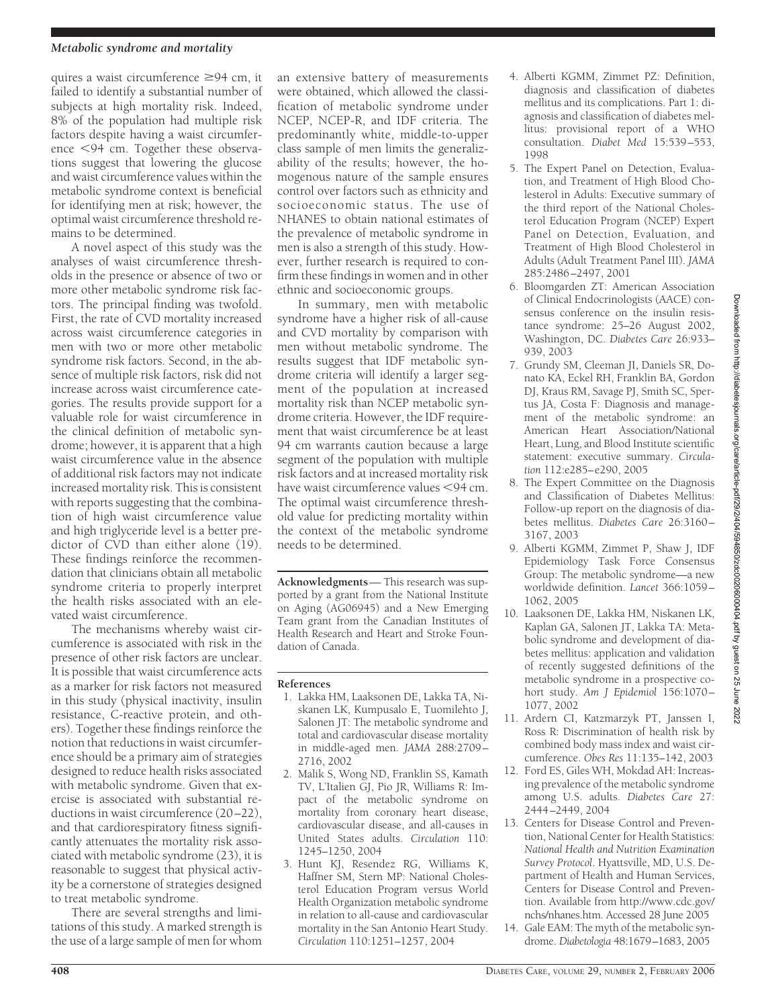#### *Metabolic syndrome and mortality*

quires a waist circumference  $\geq 94$  cm, it failed to identify a substantial number of subjects at high mortality risk. Indeed, 8% of the population had multiple risk factors despite having a waist circumference <94 cm. Together these observations suggest that lowering the glucose and waist circumference values within the metabolic syndrome context is beneficial for identifying men at risk; however, the optimal waist circumference threshold remains to be determined.

A novel aspect of this study was the analyses of waist circumference thresholds in the presence or absence of two or more other metabolic syndrome risk factors. The principal finding was twofold. First, the rate of CVD mortality increased across waist circumference categories in men with two or more other metabolic syndrome risk factors. Second, in the absence of multiple risk factors, risk did not increase across waist circumference categories. The results provide support for a valuable role for waist circumference in the clinical definition of metabolic syndrome; however, it is apparent that a high waist circumference value in the absence of additional risk factors may not indicate increased mortality risk. This is consistent with reports suggesting that the combination of high waist circumference value and high triglyceride level is a better predictor of CVD than either alone (19). These findings reinforce the recommendation that clinicians obtain all metabolic syndrome criteria to properly interpret the health risks associated with an elevated waist circumference.

The mechanisms whereby waist circumference is associated with risk in the presence of other risk factors are unclear. It is possible that waist circumference acts as a marker for risk factors not measured in this study (physical inactivity, insulin resistance, C-reactive protein, and others). Together these findings reinforce the notion that reductions in waist circumference should be a primary aim of strategies designed to reduce health risks associated with metabolic syndrome. Given that exercise is associated with substantial reductions in waist circumference (20–22), and that cardiorespiratory fitness significantly attenuates the mortality risk associated with metabolic syndrome (23), it is reasonable to suggest that physical activity be a cornerstone of strategies designed to treat metabolic syndrome.

There are several strengths and limitations of this study. A marked strength is the use of a large sample of men for whom

an extensive battery of measurements were obtained, which allowed the classification of metabolic syndrome under NCEP, NCEP-R, and IDF criteria. The predominantly white, middle-to-upper class sample of men limits the generalizability of the results; however, the homogenous nature of the sample ensures control over factors such as ethnicity and socioeconomic status. The use of NHANES to obtain national estimates of the prevalence of metabolic syndrome in men is also a strength of this study. However, further research is required to confirm these findings in women and in other ethnic and socioeconomic groups.

In summary, men with metabolic syndrome have a higher risk of all-cause and CVD mortality by comparison with men without metabolic syndrome. The results suggest that IDF metabolic syndrome criteria will identify a larger segment of the population at increased mortality risk than NCEP metabolic syndrome criteria. However, the IDF requirement that waist circumference be at least 94 cm warrants caution because a large segment of the population with multiple risk factors and at increased mortality risk have waist circumference values  $<$ 94 cm. The optimal waist circumference threshold value for predicting mortality within the context of the metabolic syndrome needs to be determined.

**Acknowledgments**— This research was supported by a grant from the National Institute on Aging (AG06945) and a New Emerging Team grant from the Canadian Institutes of Health Research and Heart and Stroke Foundation of Canada.

#### **References**

- 1. Lakka HM, Laaksonen DE, Lakka TA, Niskanen LK, Kumpusalo E, Tuomilehto J, Salonen JT: The metabolic syndrome and total and cardiovascular disease mortality in middle-aged men. *JAMA* 288:2709– 2716, 2002
- 2. Malik S, Wong ND, Franklin SS, Kamath TV, L'Italien GJ, Pio JR, Williams R: Impact of the metabolic syndrome on mortality from coronary heart disease, cardiovascular disease, and all-causes in United States adults. *Circulation* 110: 1245–1250, 2004
- 3. Hunt KJ, Resendez RG, Williams K, Haffner SM, Stern MP: National Cholesterol Education Program versus World Health Organization metabolic syndrome in relation to all-cause and cardiovascular mortality in the San Antonio Heart Study. *Circulation* 110:1251–1257, 2004
- 4. Alberti KGMM, Zimmet PZ: Definition, diagnosis and classification of diabetes mellitus and its complications. Part 1: diagnosis and classification of diabetes mellitus: provisional report of a WHO consultation. *Diabet Med* 15:539–553, 1998
- 5. The Expert Panel on Detection, Evaluation, and Treatment of High Blood Cholesterol in Adults: Executive summary of the third report of the National Cholesterol Education Program (NCEP) Expert Panel on Detection, Evaluation, and Treatment of High Blood Cholesterol in Adults (Adult Treatment Panel III). *JAMA* 285:2486–2497, 2001
- 6. Bloomgarden ZT: American Association of Clinical Endocrinologists (AACE) consensus conference on the insulin resistance syndrome: 25–26 August 2002, Washington, DC. *Diabetes Care* 26:933– 939, 2003
- 7. Grundy SM, Cleeman JI, Daniels SR, Donato KA, Eckel RH, Franklin BA, Gordon DJ, Kraus RM, Savage PJ, Smith SC, Spertus JA, Costa F: Diagnosis and management of the metabolic syndrome: an American Heart Association/National Heart, Lung, and Blood Institute scientific statement: executive summary. *Circulation* 112:e285–e290, 2005
- 8. The Expert Committee on the Diagnosis and Classification of Diabetes Mellitus: Follow-up report on the diagnosis of diabetes mellitus. *Diabetes Care* 26:3160– 3167, 2003
- 9. Alberti KGMM, Zimmet P, Shaw J, IDF Epidemiology Task Force Consensus Group: The metabolic syndrome—a new worldwide definition. *Lancet* 366:1059– 1062, 2005
- 10. Laaksonen DE, Lakka HM, Niskanen LK, Kaplan GA, Salonen JT, Lakka TA: Metabolic syndrome and development of diabetes mellitus: application and validation of recently suggested definitions of the metabolic syndrome in a prospective cohort study. *Am J Epidemiol* 156:1070– 1077, 2002
- 11. Ardern CI, Katzmarzyk PT, Janssen I, Ross R: Discrimination of health risk by combined body mass index and waist circumference. *Obes Res* 11:135–142, 2003
- 12. Ford ES, Giles WH, Mokdad AH: Increasing prevalence of the metabolic syndrome among U.S. adults. *Diabetes Care* 27: 2444–2449, 2004
- 13. Centers for Disease Control and Prevention, National Center for Health Statistics: *National Health and Nutrition Examination Survey Protocol*. Hyattsville, MD, U.S. Department of Health and Human Services, Centers for Disease Control and Prevention. Available from http://www.cdc.gov/ nchs/nhanes.htm. Accessed 28 June 2005
- 14. Gale EAM: The myth of the metabolic syndrome. *Diabetologia* 48:1679–1683, 2005